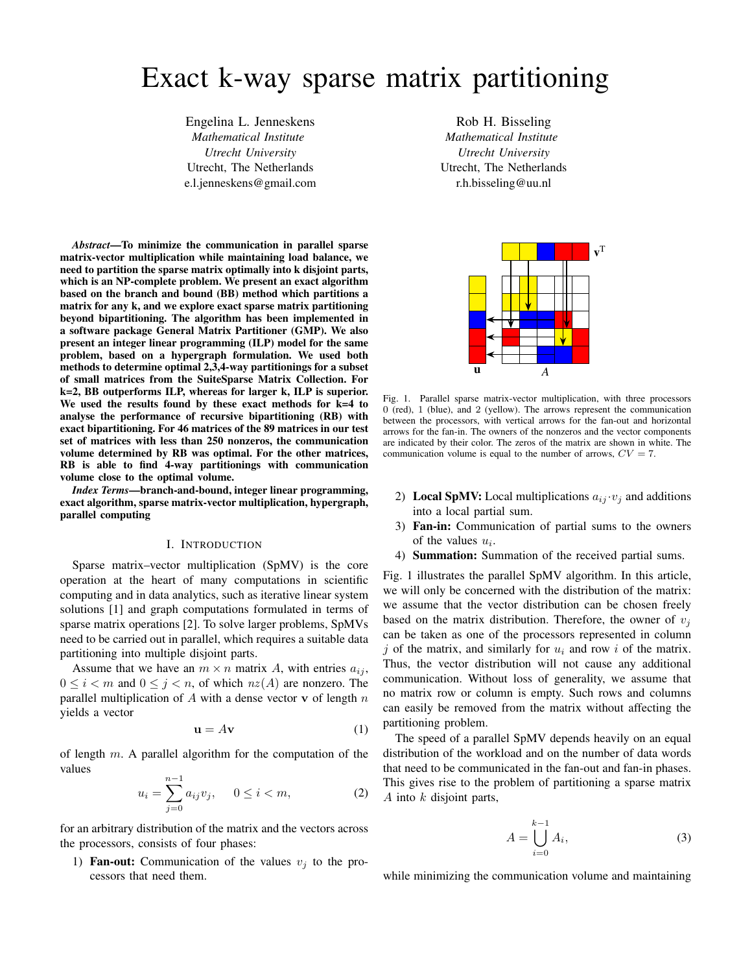# Exact k-way sparse matrix partitioning

Engelina L. Jenneskens *Mathematical Institute Utrecht University* Utrecht, The Netherlands e.l.jenneskens@gmail.com

*Abstract*—To minimize the communication in parallel sparse matrix-vector multiplication while maintaining load balance, we need to partition the sparse matrix optimally into k disjoint parts, which is an NP-complete problem. We present an exact algorithm based on the branch and bound (BB) method which partitions a matrix for any k, and we explore exact sparse matrix partitioning beyond bipartitioning. The algorithm has been implemented in a software package General Matrix Partitioner (GMP). We also present an integer linear programming (ILP) model for the same problem, based on a hypergraph formulation. We used both methods to determine optimal 2,3,4-way partitionings for a subset of small matrices from the SuiteSparse Matrix Collection. For k=2, BB outperforms ILP, whereas for larger k, ILP is superior. We used the results found by these exact methods for k=4 to analyse the performance of recursive bipartitioning (RB) with exact bipartitioning. For 46 matrices of the 89 matrices in our test set of matrices with less than 250 nonzeros, the communication volume determined by RB was optimal. For the other matrices, RB is able to find 4-way partitionings with communication volume close to the optimal volume.

*Index Terms*—branch-and-bound, integer linear programming, exact algorithm, sparse matrix-vector multiplication, hypergraph, parallel computing

#### I. INTRODUCTION

Sparse matrix–vector multiplication (SpMV) is the core operation at the heart of many computations in scientific computing and in data analytics, such as iterative linear system solutions [1] and graph computations formulated in terms of sparse matrix operations [2]. To solve larger problems, SpMVs need to be carried out in parallel, which requires a suitable data partitioning into multiple disjoint parts.

Assume that we have an  $m \times n$  matrix A, with entries  $a_{ij}$ ,  $0 \leq i < m$  and  $0 \leq j < n$ , of which  $nz(A)$  are nonzero. The parallel multiplication of  $A$  with a dense vector  $v$  of length  $n$ yields a vector

$$
\mathbf{u} = A\mathbf{v} \tag{1}
$$

of length  $m$ . A parallel algorithm for the computation of the values

$$
u_i = \sum_{j=0}^{n-1} a_{ij} v_j, \quad 0 \le i < m,\tag{2}
$$

for an arbitrary distribution of the matrix and the vectors across the processors, consists of four phases:

1) **Fan-out:** Communication of the values  $v_i$  to the processors that need them.

Rob H. Bisseling *Mathematical Institute Utrecht University* Utrecht, The Netherlands r.h.bisseling@uu.nl



Fig. 1. Parallel sparse matrix-vector multiplication, with three processors 0 (red), 1 (blue), and 2 (yellow). The arrows represent the communication between the processors, with vertical arrows for the fan-out and horizontal arrows for the fan-in. The owners of the nonzeros and the vector components are indicated by their color. The zeros of the matrix are shown in white. The communication volume is equal to the number of arrows,  $CV = 7$ .

- 2) Local SpMV: Local multiplications  $a_{ij} \cdot v_j$  and additions into a local partial sum.
- 3) Fan-in: Communication of partial sums to the owners of the values  $u_i$ .
- 4) Summation: Summation of the received partial sums.

Fig. 1 illustrates the parallel SpMV algorithm. In this article, we will only be concerned with the distribution of the matrix: we assume that the vector distribution can be chosen freely based on the matrix distribution. Therefore, the owner of  $v_i$ can be taken as one of the processors represented in column j of the matrix, and similarly for  $u_i$  and row i of the matrix. Thus, the vector distribution will not cause any additional communication. Without loss of generality, we assume that no matrix row or column is empty. Such rows and columns can easily be removed from the matrix without affecting the partitioning problem.

The speed of a parallel SpMV depends heavily on an equal distribution of the workload and on the number of data words that need to be communicated in the fan-out and fan-in phases. This gives rise to the problem of partitioning a sparse matrix  $A$  into  $k$  disjoint parts,

$$
A = \bigcup_{i=0}^{k-1} A_i,\tag{3}
$$

while minimizing the communication volume and maintaining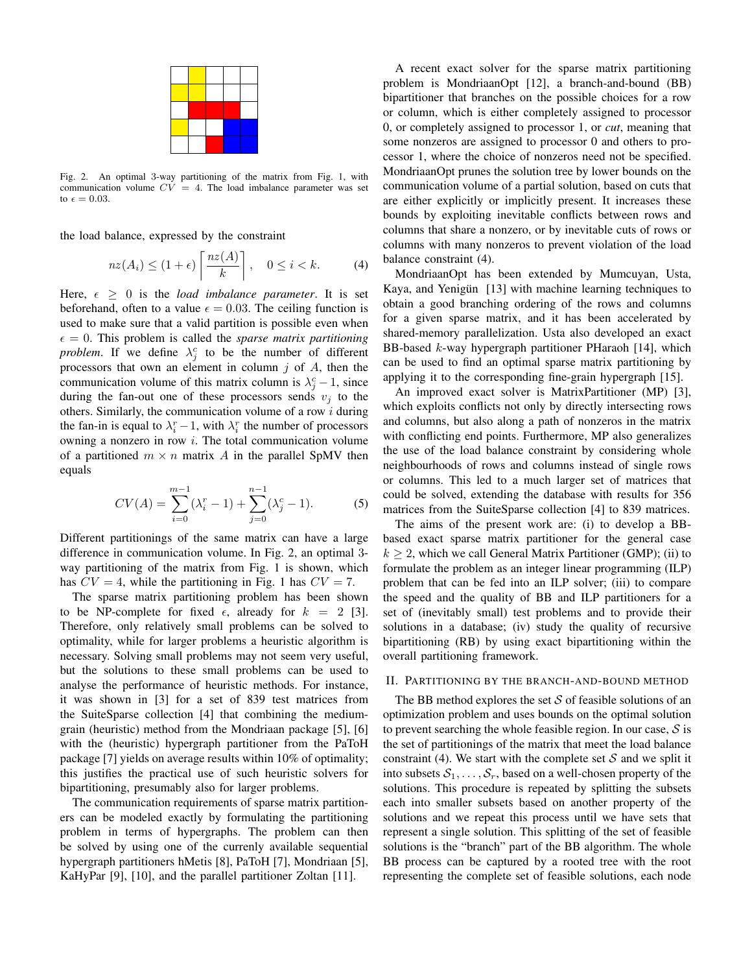Fig. 2. An optimal 3-way partitioning of the matrix from Fig. 1, with communication volume  $CV = 4$ . The load imbalance parameter was set to  $\epsilon = 0.03$ .

the load balance, expressed by the constraint

$$
nz(A_i) \le (1+\epsilon) \left\lceil \frac{nz(A)}{k} \right\rceil, \quad 0 \le i < k. \tag{4}
$$

Here,  $\epsilon \geq 0$  is the *load imbalance parameter*. It is set beforehand, often to a value  $\epsilon = 0.03$ . The ceiling function is used to make sure that a valid partition is possible even when  $\epsilon = 0$ . This problem is called the *sparse matrix partitioning problem*. If we define  $\lambda_j^c$  to be the number of different processors that own an element in column  $j$  of  $A$ , then the communication volume of this matrix column is  $\lambda_j^c - 1$ , since during the fan-out one of these processors sends  $v_j$  to the others. Similarly, the communication volume of a row  $i$  during the fan-in is equal to  $\lambda_i^r - 1$ , with  $\lambda_i^r$  the number of processors owning a nonzero in row  $i$ . The total communication volume of a partitioned  $m \times n$  matrix A in the parallel SpMV then equals

$$
CV(A) = \sum_{i=0}^{m-1} (\lambda_i^r - 1) + \sum_{j=0}^{n-1} (\lambda_j^c - 1).
$$
 (5)

Different partitionings of the same matrix can have a large difference in communication volume. In Fig. 2, an optimal 3 way partitioning of the matrix from Fig. 1 is shown, which has  $CV = 4$ , while the partitioning in Fig. 1 has  $CV = 7$ .

The sparse matrix partitioning problem has been shown to be NP-complete for fixed  $\epsilon$ , already for  $k = 2$  [3]. Therefore, only relatively small problems can be solved to optimality, while for larger problems a heuristic algorithm is necessary. Solving small problems may not seem very useful, but the solutions to these small problems can be used to analyse the performance of heuristic methods. For instance, it was shown in [3] for a set of 839 test matrices from the SuiteSparse collection [4] that combining the mediumgrain (heuristic) method from the Mondriaan package [5], [6] with the (heuristic) hypergraph partitioner from the PaToH package [7] yields on average results within 10% of optimality; this justifies the practical use of such heuristic solvers for bipartitioning, presumably also for larger problems.

The communication requirements of sparse matrix partitioners can be modeled exactly by formulating the partitioning problem in terms of hypergraphs. The problem can then be solved by using one of the currenly available sequential hypergraph partitioners hMetis [8], PaToH [7], Mondriaan [5], KaHyPar [9], [10], and the parallel partitioner Zoltan [11].

A recent exact solver for the sparse matrix partitioning problem is MondriaanOpt [12], a branch-and-bound (BB) bipartitioner that branches on the possible choices for a row or column, which is either completely assigned to processor 0, or completely assigned to processor 1, or *cut*, meaning that some nonzeros are assigned to processor 0 and others to processor 1, where the choice of nonzeros need not be specified. MondriaanOpt prunes the solution tree by lower bounds on the communication volume of a partial solution, based on cuts that are either explicitly or implicitly present. It increases these bounds by exploiting inevitable conflicts between rows and columns that share a nonzero, or by inevitable cuts of rows or columns with many nonzeros to prevent violation of the load balance constraint (4).

MondriaanOpt has been extended by Mumcuyan, Usta, Kaya, and Yenigün [13] with machine learning techniques to obtain a good branching ordering of the rows and columns for a given sparse matrix, and it has been accelerated by shared-memory parallelization. Usta also developed an exact BB-based k-way hypergraph partitioner PHaraoh [14], which can be used to find an optimal sparse matrix partitioning by applying it to the corresponding fine-grain hypergraph [15].

An improved exact solver is MatrixPartitioner (MP) [3], which exploits conflicts not only by directly intersecting rows and columns, but also along a path of nonzeros in the matrix with conflicting end points. Furthermore, MP also generalizes the use of the load balance constraint by considering whole neighbourhoods of rows and columns instead of single rows or columns. This led to a much larger set of matrices that could be solved, extending the database with results for 356 matrices from the SuiteSparse collection [4] to 839 matrices.

The aims of the present work are: (i) to develop a BBbased exact sparse matrix partitioner for the general case  $k \geq 2$ , which we call General Matrix Partitioner (GMP); (ii) to formulate the problem as an integer linear programming (ILP) problem that can be fed into an ILP solver; (iii) to compare the speed and the quality of BB and ILP partitioners for a set of (inevitably small) test problems and to provide their solutions in a database; (iv) study the quality of recursive bipartitioning (RB) by using exact bipartitioning within the overall partitioning framework.

# II. PARTITIONING BY THE BRANCH-AND-BOUND METHOD

The BB method explores the set  $S$  of feasible solutions of an optimization problem and uses bounds on the optimal solution to prevent searching the whole feasible region. In our case,  $S$  is the set of partitionings of the matrix that meet the load balance constraint (4). We start with the complete set S and we split it into subsets  $S_1, \ldots, S_r$ , based on a well-chosen property of the solutions. This procedure is repeated by splitting the subsets each into smaller subsets based on another property of the solutions and we repeat this process until we have sets that represent a single solution. This splitting of the set of feasible solutions is the "branch" part of the BB algorithm. The whole BB process can be captured by a rooted tree with the root representing the complete set of feasible solutions, each node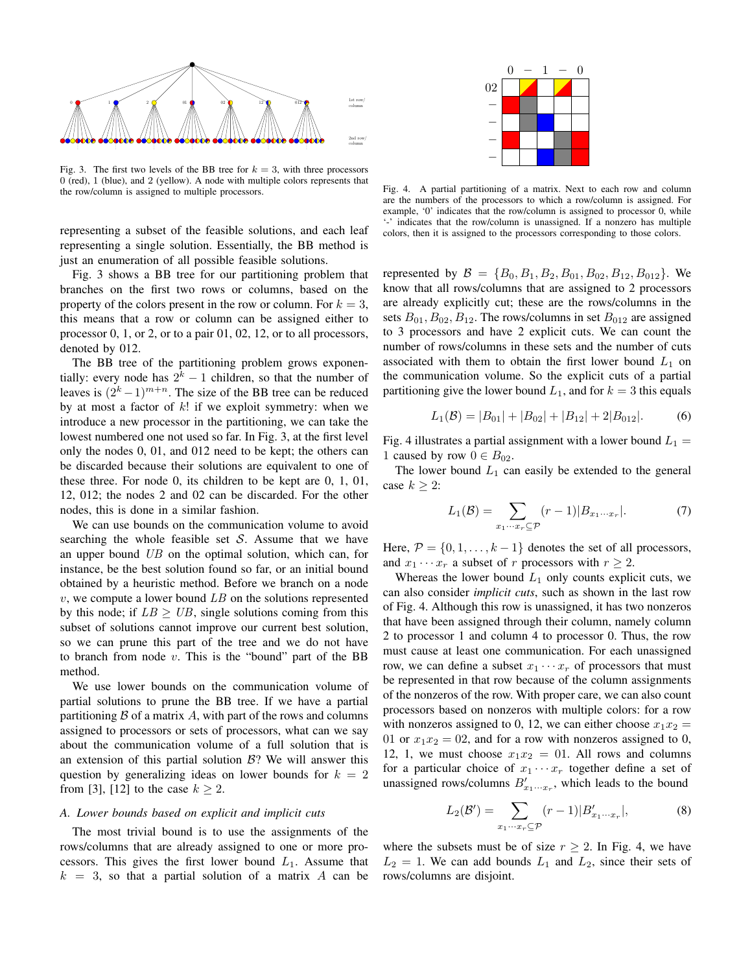

Fig. 3. The first two levels of the BB tree for  $k = 3$ , with three processors 0 (red), 1 (blue), and 2 (yellow). A node with multiple colors represents that the row/column is assigned to multiple processors.

representing a subset of the feasible solutions, and each leaf representing a single solution. Essentially, the BB method is just an enumeration of all possible feasible solutions.

Fig. 3 shows a BB tree for our partitioning problem that branches on the first two rows or columns, based on the property of the colors present in the row or column. For  $k = 3$ , this means that a row or column can be assigned either to processor 0, 1, or 2, or to a pair 01, 02, 12, or to all processors, denoted by 012.

The BB tree of the partitioning problem grows exponentially: every node has  $2^k - 1$  children, so that the number of leaves is  $(2<sup>k</sup> - 1)<sup>m+n</sup>$ . The size of the BB tree can be reduced by at most a factor of  $k!$  if we exploit symmetry: when we introduce a new processor in the partitioning, we can take the lowest numbered one not used so far. In Fig. 3, at the first level only the nodes 0, 01, and 012 need to be kept; the others can be discarded because their solutions are equivalent to one of these three. For node 0, its children to be kept are 0, 1, 01, 12, 012; the nodes 2 and 02 can be discarded. For the other nodes, this is done in a similar fashion. A can be a matrix of a matrix of a matrix of a matrix  $\frac{1}{2}$  matrix  $\frac{1}{2}$  matrix  $\frac{1}{2}$  matrix a matrix  $\frac{1}{2}$  matrix a matrix  $\frac{1}{2}$  matrix a matrix  $\frac{1}{2}$  matrix  $\frac{1}{2}$  matrix  $\frac{1}{2}$  matrix  $\frac$ 

We can use bounds on the communication volume to avoid searching the whole feasible set  $S$ . Assume that we have an upper bound UB on the optimal solution, which can, for instance, be the best solution found so far, or an initial bound obtained by a heuristic method. Before we branch on a node  $v$ , we compute a lower bound  $LB$  on the solutions represented by this node; if  $LB \geq UB$ , single solutions coming from this subset of solutions cannot improve our current best solution, so we can prune this part of the tree and we do not have to branch from node  $v$ . This is the "bound" part of the BB method.

We use lower bounds on the communication volume of partial solutions to prune the BB tree. If we have a partial partitioning  $\beta$  of a matrix  $\dot{A}$ , with part of the rows and columns assigned to processors or sets of processors, what can we say about the communication volume of a full solution that is an extension of this partial solution  $B$ ? We will answer this question by generalizing ideas on lower bounds for  $k = 2$ from [3], [12] to the case  $k \geq 2$ .

## *A. Lower bounds based on explicit and implicit cuts*

The most trivial bound is to use the assignments of the rows/columns that are already assigned to one or more processors. This gives the first lower bound  $L_1$ . Assume that



Fig. 4. A partial partitioning of a matrix. Next to each row and column are the numbers of the processors to which a row/column is assigned. For example, '0' indicates that the row/column is assigned to processor 0, while '-' indicates that the row/column is unassigned. If a nonzero has multiple colors, then it is assigned to the processors corresponding to those colors.

represented by  $\mathcal{B} = \{B_0, B_1, B_2, B_{01}, B_{02}, B_{12}, B_{012}\}.$  We know that all rows/columns that are assigned to 2 processors are already explicitly cut; these are the rows/columns in the sets  $B_{01}, B_{02}, B_{12}$ . The rows/columns in set  $B_{012}$  are assigned to 3 processors and have 2 explicit cuts. We can count the number of rows/columns in these sets and the number of cuts associated with them to obtain the first lower bound  $L_1$  on the communication volume. So the explicit cuts of a partial partitioning give the lower bound  $L_1$ , and for  $k = 3$  this equals

$$
L_1(\mathcal{B}) = |B_{01}| + |B_{02}| + |B_{12}| + 2|B_{012}|.
$$
 (6)

Fig. 4 illustrates a partial assignment with a lower bound  $L_1 =$ 1 caused by row  $0 \in B_{02}$ .

The lower bound  $L_1$  can easily be extended to the general case  $k \geq 2$ :

$$
L_1(\mathcal{B}) = \sum_{x_1 \cdots x_r \subseteq \mathcal{P}} (r-1)|B_{x_1 \cdots x_r}|.
$$
 (7)

Here,  $P = \{0, 1, \ldots, k-1\}$  denotes the set of all processors, and  $x_1 \cdots x_r$  a subset of r processors with  $r \geq 2$ .

Whereas the lower bound  $L_1$  only counts explicit cuts, we can also consider *implicit cuts*, such as shown in the last row of Fig. 4. Although this row is unassigned, it has two nonzeros that have been assigned through their column, namely column 2 to processor 1 and column 4 to processor 0. Thus, the row must cause at least one communication. For each unassigned row, we can define a subset  $x_1 \cdots x_r$  of processors that must be represented in that row because of the column assignments of the nonzeros of the row. With proper care, we can also count processors based on nonzeros with multiple colors: for a row with nonzeros assigned to 0, 12, we can either choose  $x_1x_2 =$ 01 or  $x_1x_2 = 0$ , and for a row with nonzeros assigned to 0, 12, 1, we must choose  $x_1x_2 = 01$ . All rows and columns for a particular choice of  $x_1 \cdots x_r$  together define a set of unassigned rows/columns  $B'_{x_1\cdots x_r}$ , which leads to the bound

$$
L_2(\mathcal{B}') = \sum_{x_1 \cdots x_r \subseteq \mathcal{P}} (r-1)|B'_{x_1 \cdots x_r}|,\tag{8}
$$

where the subsets must be of size  $r \geq 2$ . In Fig. 4, we have  $L_2 = 1$ . We can add bounds  $L_1$  and  $L_2$ , since their sets of rows/columns are disjoint.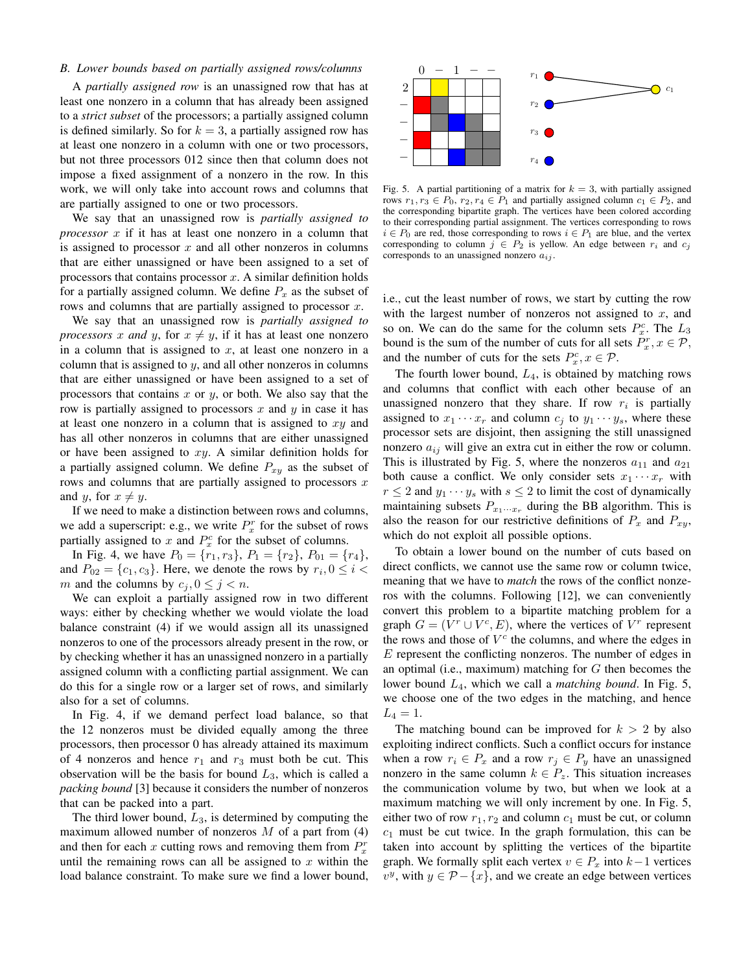# *B. Lower bounds based on partially assigned rows/columns*

A *partially assigned row* is an unassigned row that has at least one nonzero in a column that has already been assigned to a *strict subset* of the processors; a partially assigned column is defined similarly. So for  $k = 3$ , a partially assigned row has at least one nonzero in a column with one or two processors, but not three processors 012 since then that column does not impose a fixed assignment of a nonzero in the row. In this work, we will only take into account rows and columns that are partially assigned to one or two processors.

We say that an unassigned row is *partially assigned to processor* x if it has at least one nonzero in a column that is assigned to processor  $x$  and all other nonzeros in columns that are either unassigned or have been assigned to a set of processors that contains processor  $x$ . A similar definition holds for a partially assigned column. We define  $P<sub>x</sub>$  as the subset of rows and columns that are partially assigned to processor  $x$ .

We say that an unassigned row is *partially assigned to processors* x and y, for  $x \neq y$ , if it has at least one nonzero in a column that is assigned to  $x$ , at least one nonzero in a column that is assigned to  $y$ , and all other nonzeros in columns that are either unassigned or have been assigned to a set of processors that contains  $x$  or  $y$ , or both. We also say that the row is partially assigned to processors x and y in case it has at least one nonzero in a column that is assigned to  $xy$  and has all other nonzeros in columns that are either unassigned or have been assigned to  $xy$ . A similar definition holds for a partially assigned column. We define  $P_{xy}$  as the subset of rows and columns that are partially assigned to processors  $x$ and y, for  $x \neq y$ . R *Dower bounds based on positively assigned to make sure we find a lower bound in the sure we find a lower bound balance constraints are constraints and the make sure we find a lower balance constraints. So the <i>K* = 5.

If we need to make a distinction between rows and columns, we add a superscript: e.g., we write  $P_x^r$  for the subset of rows partially assigned to x and  $P_x^c$  for the subset of columns.

In Fig. 4, we have  $P_0 = \{r_1, r_3\}$ ,  $P_1 = \{r_2\}$ ,  $P_{01} = \{r_4\}$ , and  $P_{02} = \{c_1, c_3\}$ . Here, we denote the rows by  $r_i, 0 \le i <$ m and the columns by  $c_j, 0 \le j < n$ .

We can exploit a partially assigned row in two different ways: either by checking whether we would violate the load balance constraint (4) if we would assign all its unassigned nonzeros to one of the processors already present in the row, or by checking whether it has an unassigned nonzero in a partially assigned column with a conflicting partial assignment. We can do this for a single row or a larger set of rows, and similarly also for a set of columns.

In Fig. 4, if we demand perfect load balance, so that the 12 nonzeros must be divided equally among the three processors, then processor 0 has already attained its maximum of 4 nonzeros and hence  $r_1$  and  $r_3$  must both be cut. This observation will be the basis for bound  $L_3$ , which is called a *packing bound* [3] because it considers the number of nonzeros that can be packed into a part.

The third lower bound,  $L_3$ , is determined by computing the maximum allowed number of nonzeros  $M$  of a part from (4) and then for each x cutting rows and removing them from  $P_x^r$ until the remaining rows can all be assigned to  $x$  within the



Fig. 5. A partial partitioning of a matrix for  $k = 3$ , with partially assigned rows  $r_1, r_3 \in P_0$ ,  $r_2, r_4 \in P_1$  and partially assigned column  $c_1 \in P_2$ , and the corresponding bipartite graph. The vertices have been colored according to their corresponding partial assignment. The vertices corresponding to rows  $i \in P_0$  are red, those corresponding to rows  $i \in P_1$  are blue, and the vertex corresponding to column  $j \in P_2$  is yellow. An edge between  $r_i$  and  $c_j$ corresponds to an unassigned nonzero  $a_{ij}$ .

i.e., cut the least number of rows, we start by cutting the row with the largest number of nonzeros not assigned to  $x$ , and so on. We can do the same for the column sets  $P_x^c$ . The  $L_3$ bound is the sum of the number of cuts for all sets  $P_x^r, x \in \mathcal{P}$ , and the number of cuts for the sets  $P_x^c, x \in \mathcal{P}$ .

The fourth lower bound,  $L_4$ , is obtained by matching rows and columns that conflict with each other because of an unassigned nonzero that they share. If row  $r_i$  is partially assigned to  $x_1 \cdots x_r$  and column  $c_j$  to  $y_1 \cdots y_s$ , where these processor sets are disjoint, then assigning the still unassigned nonzero  $a_{ij}$  will give an extra cut in either the row or column. This is illustrated by Fig. 5, where the nonzeros  $a_{11}$  and  $a_{21}$ both cause a conflict. We only consider sets  $x_1 \cdots x_r$  with  $r \leq 2$  and  $y_1 \cdots y_s$  with  $s \leq 2$  to limit the cost of dynamically maintaining subsets  $P_{x_1 \cdots x_r}$  during the BB algorithm. This is also the reason for our restrictive definitions of  $P_x$  and  $P_{xy}$ , which do not exploit all possible options.

To obtain a lower bound on the number of cuts based on direct conflicts, we cannot use the same row or column twice, meaning that we have to *match* the rows of the conflict nonzeros with the columns. Following [12], we can conveniently convert this problem to a bipartite matching problem for a graph  $G = (V^r \cup V^c, E)$ , where the vertices of  $V^r$  represent the rows and those of  $V^c$  the columns, and where the edges in E represent the conflicting nonzeros. The number of edges in an optimal (i.e., maximum) matching for  $G$  then becomes the lower bound L4, which we call a *matching bound*. In Fig. 5, we choose one of the two edges in the matching, and hence  $L_4 = 1.$ 

The matching bound can be improved for  $k > 2$  by also exploiting indirect conflicts. Such a conflict occurs for instance when a row  $r_i \in P_x$  and a row  $r_j \in P_y$  have an unassigned nonzero in the same column  $k \in P_z$ . This situation increases the communication volume by two, but when we look at a maximum matching we will only increment by one. In Fig. 5, either two of row  $r_1, r_2$  and column  $c_1$  must be cut, or column  $c_1$  must be cut twice. In the graph formulation, this can be taken into account by splitting the vertices of the bipartite graph. We formally split each vertex  $v \in P_x$  into  $k-1$  vertices  $v^y$ , with  $y \in \mathcal{P} - \{x\}$ , and we create an edge between vertices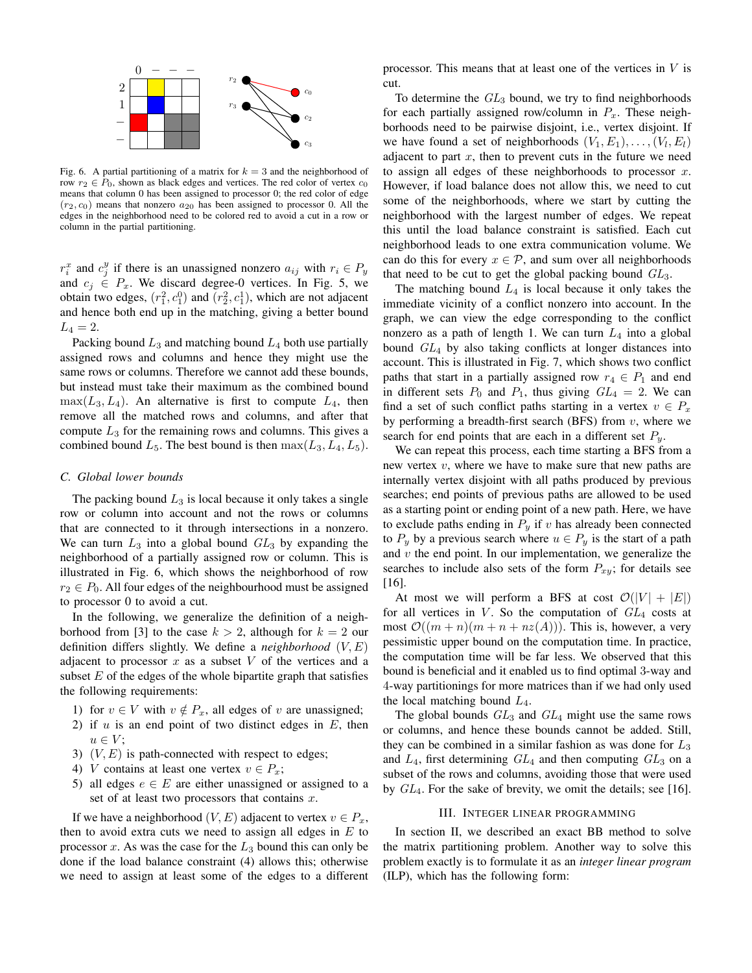

Fig. 6. A partial partitioning of a matrix for  $k = 3$  and the neighborhood of row  $r_2 \in P_0$ , shown as black edges and vertices. The red color of vertex  $c_0$ means that column 0 has been assigned to processor 0; the red color of edge  $(r_2, c_0)$  means that nonzero  $a_{20}$  has been assigned to processor 0. All the edges in the neighborhood need to be colored red to avoid a cut in a row or column in the partial partitioning.

 $r_i^x$  and  $c_j^y$  if there is an unassigned nonzero  $a_{ij}$  with  $r_i \in P_y$ and  $c_j \in P_x$ . We discard degree-0 vertices. In Fig. 5, we obtain two edges,  $(r_1^2, c_1^0)$  and  $(r_2^2, c_1^1)$ , which are not adjacent and hence both end up in the matching, giving a better bound  $L_4 = 2.$ 

Packing bound  $L_3$  and matching bound  $L_4$  both use partially assigned rows and columns and hence they might use the same rows or columns. Therefore we cannot add these bounds, but instead must take their maximum as the combined bound  $\max(L_3, L_4)$ . An alternative is first to compute  $L_4$ , then remove all the matched rows and columns, and after that compute  $L_3$  for the remaining rows and columns. This gives a combined bound  $L_5$ . The best bound is then  $\max(L_3, L_4, L_5)$ .

## *C. Global lower bounds*

The packing bound  $L_3$  is local because it only takes a single row or column into account and not the rows or columns that are connected to it through intersections in a nonzero. We can turn  $L_3$  into a global bound  $GL_3$  by expanding the neighborhood of a partially assigned row or column. This is illustrated in Fig. 6, which shows the neighborhood of row  $r_2 \in P_0$ . All four edges of the neighbourhood must be assigned to processor 0 to avoid a cut.

In the following, we generalize the definition of a neighborhood from [3] to the case  $k > 2$ , although for  $k = 2$  our definition differs slightly. We define a *neighborhood*  $(V, E)$ adjacent to processor  $x$  as a subset  $V$  of the vertices and a subset  $E$  of the edges of the whole bipartite graph that satisfies the following requirements:

- 1) for  $v \in V$  with  $v \notin P_x$ , all edges of v are unassigned;
- 2) if  $u$  is an end point of two distinct edges in  $E$ , then  $u \in V$ :
- 3)  $(V, E)$  is path-connected with respect to edges;
- 4) V contains at least one vertex  $v \in P_x$ ;
- 5) all edges  $e \in E$  are either unassigned or assigned to a set of at least two processors that contains  $x$ .

If we have a neighborhood  $(V, E)$  adjacent to vertex  $v \in P_x$ , then to avoid extra cuts we need to assign all edges in  $E$  to processor  $x$ . As was the case for the  $L_3$  bound this can only be done if the load balance constraint (4) allows this; otherwise we need to assign at least some of the edges to a different processor. This means that at least one of the vertices in V is cut.

To determine the  $GL_3$  bound, we try to find neighborhoods for each partially assigned row/column in  $P_x$ . These neighborhoods need to be pairwise disjoint, i.e., vertex disjoint. If we have found a set of neighborhoods  $(V_1, E_1), \ldots, (V_l, E_l)$ adjacent to part  $x$ , then to prevent cuts in the future we need to assign all edges of these neighborhoods to processor  $x$ . However, if load balance does not allow this, we need to cut some of the neighborhoods, where we start by cutting the neighborhood with the largest number of edges. We repeat this until the load balance constraint is satisfied. Each cut neighborhood leads to one extra communication volume. We can do this for every  $x \in \mathcal{P}$ , and sum over all neighborhoods that need to be cut to get the global packing bound  $GL_3$ .

The matching bound  $L_4$  is local because it only takes the immediate vicinity of a conflict nonzero into account. In the graph, we can view the edge corresponding to the conflict nonzero as a path of length 1. We can turn  $L_4$  into a global bound GL<sup>4</sup> by also taking conflicts at longer distances into account. This is illustrated in Fig. 7, which shows two conflict paths that start in a partially assigned row  $r_4 \in P_1$  and end in different sets  $P_0$  and  $P_1$ , thus giving  $GL_4 = 2$ . We can find a set of such conflict paths starting in a vertex  $v \in P_x$ by performing a breadth-first search (BFS) from  $v$ , where we search for end points that are each in a different set  $P_y$ .

We can repeat this process, each time starting a BFS from a new vertex  $v$ , where we have to make sure that new paths are internally vertex disjoint with all paths produced by previous searches; end points of previous paths are allowed to be used as a starting point or ending point of a new path. Here, we have to exclude paths ending in  $P_y$  if v has already been connected to  $P_y$  by a previous search where  $u \in P_y$  is the start of a path and  $v$  the end point. In our implementation, we generalize the searches to include also sets of the form  $P_{xy}$ ; for details see [16].

At most we will perform a BFS at cost  $\mathcal{O}(|V| + |E|)$ for all vertices in  $V$ . So the computation of  $GL_4$  costs at most  $\mathcal{O}((m+n)(m+n+nz(A)))$ . This is, however, a very pessimistic upper bound on the computation time. In practice, the computation time will be far less. We observed that this bound is beneficial and it enabled us to find optimal 3-way and 4-way partitionings for more matrices than if we had only used the local matching bound  $L_4$ .

The global bounds  $GL_3$  and  $GL_4$  might use the same rows or columns, and hence these bounds cannot be added. Still, they can be combined in a similar fashion as was done for  $L_3$ and  $L_4$ , first determining  $GL_4$  and then computing  $GL_3$  on a subset of the rows and columns, avoiding those that were used by  $GL_4$ . For the sake of brevity, we omit the details; see [16].

## III. INTEGER LINEAR PROGRAMMING

In section II, we described an exact BB method to solve the matrix partitioning problem. Another way to solve this problem exactly is to formulate it as an *integer linear program* (ILP), which has the following form: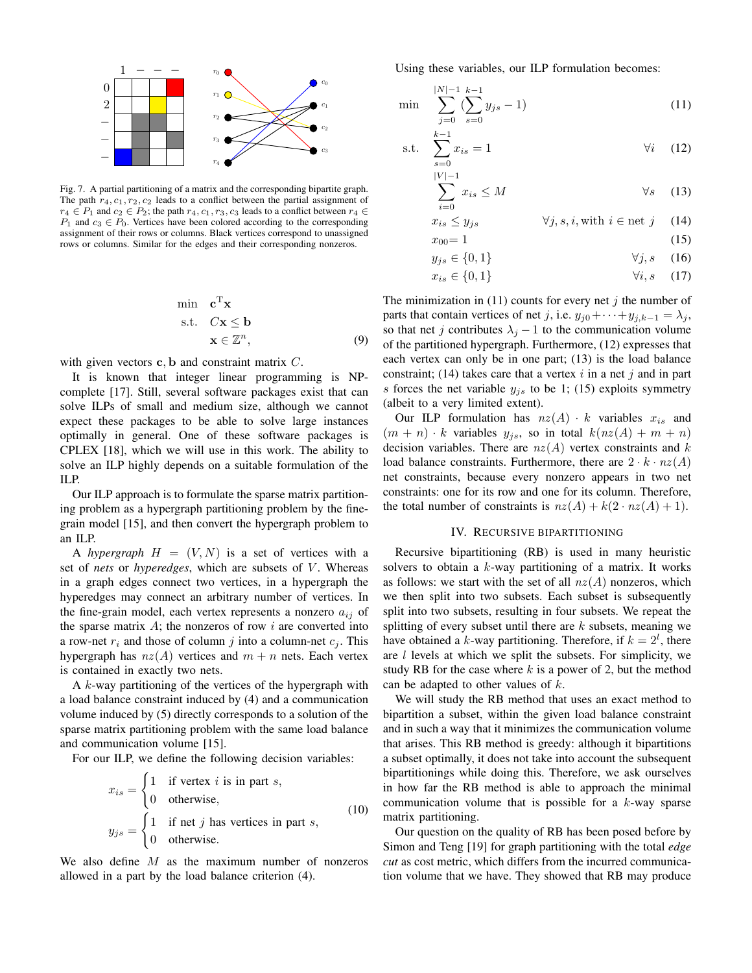

Fig. 7. A partial partitioning of a matrix and the corresponding bipartite graph. The path  $r_4$ ,  $c_1$ ,  $r_2$ ,  $c_2$  leads to a conflict between the partial assignment of  $r_4 \in P_1$  and  $c_2 \in P_2$ ; the path  $r_4, c_1, r_3, c_3$  leads to a conflict between  $r_4 \in$  $P_1$  and  $c_3 \in P_0$ . Vertices have been colored according to the corresponding assignment of their rows or columns. Black vertices correspond to unassigned rows or columns. Similar for the edges and their corresponding nonzeros.

$$
\begin{array}{ll}\n\min & \mathbf{c}^{\mathrm{T}} \mathbf{x} \\
\text{s.t.} & C \mathbf{x} \leq \mathbf{b} \\
& \mathbf{x} \in \mathbb{Z}^n,\n\end{array} \tag{9}
$$

with given vectors c, b and constraint matrix C.

It is known that integer linear programming is NPcomplete [17]. Still, several software packages exist that can solve ILPs of small and medium size, although we cannot expect these packages to be able to solve large instances optimally in general. One of these software packages is CPLEX [18], which we will use in this work. The ability to solve an ILP highly depends on a suitable formulation of the ILP.

Our ILP approach is to formulate the sparse matrix partitioning problem as a hypergraph partitioning problem by the finegrain model [15], and then convert the hypergraph problem to an ILP.

A *hypergraph*  $H = (V, N)$  is a set of vertices with a set of *nets* or *hyperedges*, which are subsets of V. Whereas in a graph edges connect two vertices, in a hypergraph the hyperedges may connect an arbitrary number of vertices. In the fine-grain model, each vertex represents a nonzero  $a_{ij}$  of the sparse matrix  $A$ ; the nonzeros of row  $i$  are converted into a row-net  $r_i$  and those of column j into a column-net  $c_i$ . This hypergraph has  $nz(A)$  vertices and  $m + n$  nets. Each vertex is contained in exactly two nets.

A  $k$ -way partitioning of the vertices of the hypergraph with a load balance constraint induced by (4) and a communication volume induced by (5) directly corresponds to a solution of the sparse matrix partitioning problem with the same load balance and communication volume [15].

For our ILP, we define the following decision variables:

$$
x_{is} = \begin{cases} 1 & \text{if vertex } i \text{ is in part } s, \\ 0 & \text{otherwise,} \end{cases}
$$
  
\n
$$
y_{js} = \begin{cases} 1 & \text{if net } j \text{ has vertices in part } s, \\ 0 & \text{otherwise.} \end{cases}
$$
 (10)

We also define  $M$  as the maximum number of nonzeros allowed in a part by the load balance criterion (4).

Using these variables, our ILP formulation becomes:

$$
\min \sum_{j=0}^{|N|-1} \sum_{s=0}^{k-1} (y_{js} - 1) \tag{11}
$$

s.t. 
$$
\sum_{s=0}^{k-1} x_{is} = 1
$$
  $\forall i$  (12)

$$
\sum_{i=0}^{|V|-1} x_{is} \le M \qquad \forall s \quad (13)
$$

$$
x_{is} \le y_{js} \qquad \forall j, s, i, \text{with } i \in \text{net } j \quad (14)
$$

$$
x_{00} = 1 \tag{15}
$$

$$
y_{js} \in \{0, 1\} \qquad \forall j, s \quad (16)
$$

$$
x_{is} \in \{0, 1\} \qquad \qquad \forall i, s \quad (17)
$$

The minimization in (11) counts for every net j the number of parts that contain vertices of net j, i.e.  $y_{j0} + \cdots + y_{j,k-1} = \lambda_j$ , so that net j contributes  $\lambda_j - 1$  to the communication volume of the partitioned hypergraph. Furthermore, (12) expresses that each vertex can only be in one part; (13) is the load balance constraint; (14) takes care that a vertex  $i$  in a net  $j$  and in part s forces the net variable  $y_{j,s}$  to be 1; (15) exploits symmetry (albeit to a very limited extent).

Our ILP formulation has  $nz(A) \cdot k$  variables  $x_{is}$  and  $(m + n) \cdot k$  variables  $y_{is}$ , so in total  $k(nz(A) + m + n)$ decision variables. There are  $nz(A)$  vertex constraints and k load balance constraints. Furthermore, there are  $2 \cdot k \cdot nz(A)$ net constraints, because every nonzero appears in two net constraints: one for its row and one for its column. Therefore, the total number of constraints is  $nz(A) + k(2 \cdot nz(A) + 1)$ .

## IV. RECURSIVE BIPARTITIONING

Recursive bipartitioning (RB) is used in many heuristic solvers to obtain a  $k$ -way partitioning of a matrix. It works as follows: we start with the set of all  $nz(A)$  nonzeros, which we then split into two subsets. Each subset is subsequently split into two subsets, resulting in four subsets. We repeat the splitting of every subset until there are  $k$  subsets, meaning we have obtained a k-way partitioning. Therefore, if  $k = 2^l$ , there are  $l$  levels at which we split the subsets. For simplicity, we study RB for the case where  $k$  is a power of 2, but the method can be adapted to other values of k.

We will study the RB method that uses an exact method to bipartition a subset, within the given load balance constraint and in such a way that it minimizes the communication volume that arises. This RB method is greedy: although it bipartitions a subset optimally, it does not take into account the subsequent bipartitionings while doing this. Therefore, we ask ourselves in how far the RB method is able to approach the minimal communication volume that is possible for a  $k$ -way sparse matrix partitioning.

Our question on the quality of RB has been posed before by Simon and Teng [19] for graph partitioning with the total *edge cut* as cost metric, which differs from the incurred communication volume that we have. They showed that RB may produce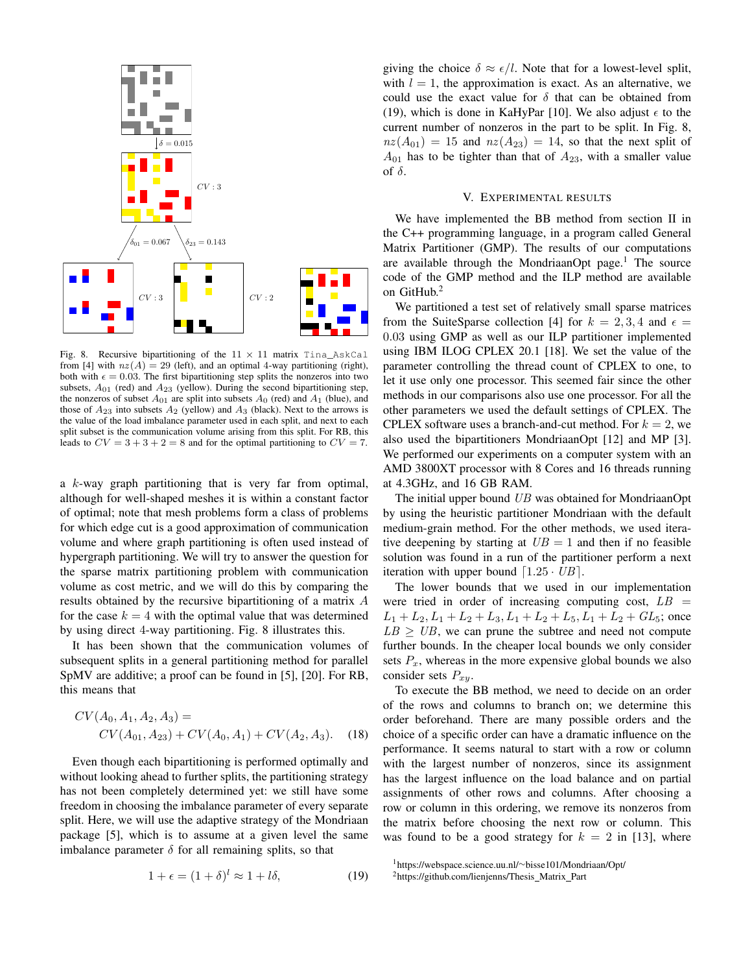

Fig. 8. Recursive bipartitioning of the  $11 \times 11$  matrix Tina AskCal from [4] with  $nz(A) = 29$  (left), and an optimal 4-way partitioning (right), both with  $\epsilon = 0.03$ . The first bipartitioning step splits the nonzeros into two subsets,  $A_{01}$  (red) and  $A_{23}$  (yellow). During the second bipartitioning step, the nonzeros of subset  $A_{01}$  are split into subsets  $A_0$  (red) and  $A_1$  (blue), and those of  $A_{23}$  into subsets  $A_2$  (yellow) and  $A_3$  (black). Next to the arrows is the value of the load imbalance parameter used in each split, and next to each split subset is the communication volume arising from this split. For RB, this leads to  $CV = 3 + 3 + 2 = 8$  and for the optimal partitioning to  $CV = 7$ .

a  $k$ -way graph partitioning that is very far from optimal, although for well-shaped meshes it is within a constant factor of optimal; note that mesh problems form a class of problems for which edge cut is a good approximation of communication volume and where graph partitioning is often used instead of hypergraph partitioning. We will try to answer the question for the sparse matrix partitioning problem with communication volume as cost metric, and we will do this by comparing the results obtained by the recursive bipartitioning of a matrix A for the case  $k = 4$  with the optimal value that was determined by using direct 4-way partitioning. Fig. 8 illustrates this.

It has been shown that the communication volumes of subsequent splits in a general partitioning method for parallel SpMV are additive; a proof can be found in [5], [20]. For RB, this means that

$$
CV(A_0, A_1, A_2, A_3) = \nCV(A_{01}, A_{23}) + CV(A_0, A_1) + CV(A_2, A_3).
$$
\n(18)

Even though each bipartitioning is performed optimally and without looking ahead to further splits, the partitioning strategy has not been completely determined yet: we still have some freedom in choosing the imbalance parameter of every separate split. Here, we will use the adaptive strategy of the Mondriaan package [5], which is to assume at a given level the same imbalance parameter  $\delta$  for all remaining splits, so that

giving the choice 
$$
\delta \approx \epsilon/l
$$
. Note that for a lowest-level split,  
with  $l = 1$ , the approximation is exact. As an alternative, we  
could use the exact value for  $\delta$  that can be obtained from  
(19), which is done in KaHyPar [10]. We also adjust  $\epsilon$  to the  
current number of nonzeros in the part to be split. In Fig. 8,  
 $nz(A_{01}) = 15$  and  $nz(A_{23}) = 14$ , so that the next split of  
 $A_{01}$  has to be tighter than that of  $A_{23}$ , with a smaller value  
of  $\delta$ .

# V. EXPERIMENTAL RESULTS

We have implemented the BB method from section II in the C++ programming language, in a program called General Matrix Partitioner (GMP). The results of our computations are available through the MondriaanOpt page.<sup>1</sup> The source code of the GMP method and the ILP method are available on GitHub.<sup>2</sup>

We partitioned a test set of relatively small sparse matrices from the SuiteSparse collection [4] for  $k = 2, 3, 4$  and  $\epsilon =$ 0.03 using GMP as well as our ILP partitioner implemented using IBM ILOG CPLEX 20.1 [18]. We set the value of the parameter controlling the thread count of CPLEX to one, to let it use only one processor. This seemed fair since the other methods in our comparisons also use one processor. For all the other parameters we used the default settings of CPLEX. The CPLEX software uses a branch-and-cut method. For  $k = 2$ , we also used the bipartitioners MondriaanOpt [12] and MP [3]. We performed our experiments on a computer system with an AMD 3800XT processor with 8 Cores and 16 threads running at 4.3GHz, and 16 GB RAM.

The initial upper bound UB was obtained for MondriaanOpt by using the heuristic partitioner Mondriaan with the default medium-grain method. For the other methods, we used iterative deepening by starting at  $UB = 1$  and then if no feasible solution was found in a run of the partitioner perform a next iteration with upper bound  $\left[1.25 \cdot UB\right]$ .

The lower bounds that we used in our implementation were tried in order of increasing computing cost,  $LB =$  $L_1 + L_2, L_1 + L_2 + L_3, L_1 + L_2 + L_5, L_1 + L_2 + GL_5$ ; once  $LB \geq UB$ , we can prune the subtree and need not compute further bounds. In the cheaper local bounds we only consider sets  $P_x$ , whereas in the more expensive global bounds we also consider sets  $P_{xy}$ .

To execute the BB method, we need to decide on an order of the rows and columns to branch on; we determine this order beforehand. There are many possible orders and the choice of a specific order can have a dramatic influence on the performance. It seems natural to start with a row or column with the largest number of nonzeros, since its assignment has the largest influence on the load balance and on partial assignments of other rows and columns. After choosing a row or column in this ordering, we remove its nonzeros from the matrix before choosing the next row or column. This was found to be a good strategy for  $k = 2$  in [13], where

 $1 + \epsilon = (1 + \delta)^l \approx 1 + l\delta,$  (19) <sup>1</sup>https://webspace.science.uu.nl/∼bisse101/Mondriaan/Opt/

<sup>2</sup>https://github.com/lienjenns/Thesis Matrix Part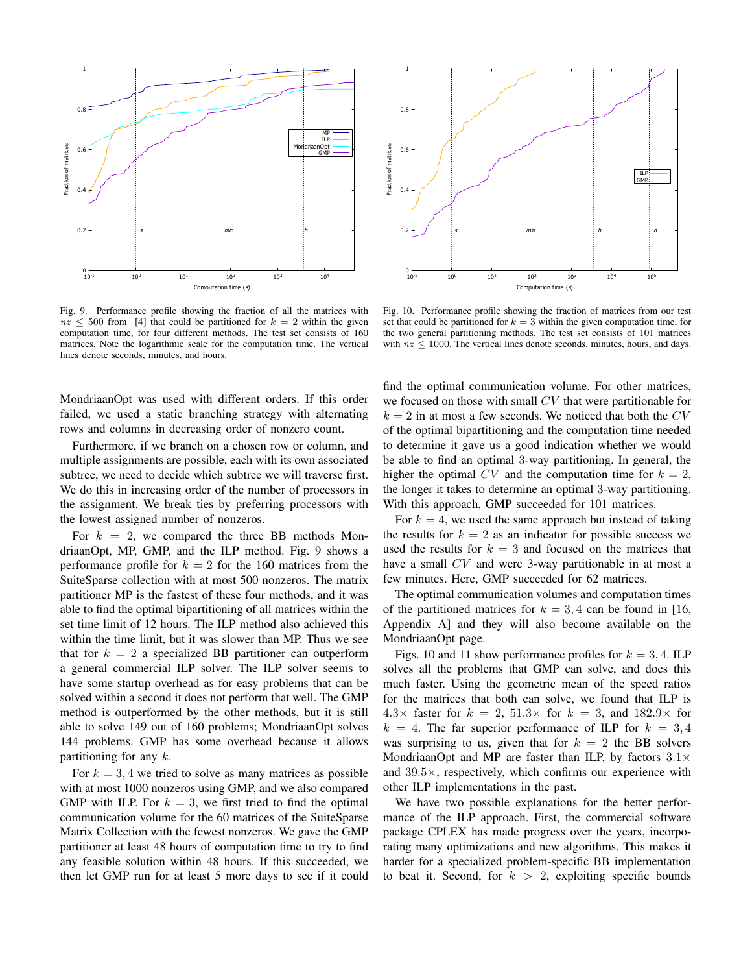

Fig. 9. Performance profile showing the fraction of all the matrices with  $nz \le 500$  from [4] that could be partitioned for  $k = 2$  within the given computation time, for four different methods. The test set consists of 160 matrices. Note the logarithmic scale for the computation time. The vertical lines denote seconds, minutes, and hours.

MondriaanOpt was used with different orders. If this order failed, we used a static branching strategy with alternating rows and columns in decreasing order of nonzero count.

Furthermore, if we branch on a chosen row or column, and multiple assignments are possible, each with its own associated subtree, we need to decide which subtree we will traverse first. We do this in increasing order of the number of processors in the assignment. We break ties by preferring processors with the lowest assigned number of nonzeros.

For  $k = 2$ , we compared the three BB methods MondriaanOpt, MP, GMP, and the ILP method. Fig. 9 shows a performance profile for  $k = 2$  for the 160 matrices from the SuiteSparse collection with at most 500 nonzeros. The matrix partitioner MP is the fastest of these four methods, and it was able to find the optimal bipartitioning of all matrices within the set time limit of 12 hours. The ILP method also achieved this within the time limit, but it was slower than MP. Thus we see that for  $k = 2$  a specialized BB partitioner can outperform a general commercial ILP solver. The ILP solver seems to have some startup overhead as for easy problems that can be solved within a second it does not perform that well. The GMP method is outperformed by the other methods, but it is still able to solve 149 out of 160 problems; MondriaanOpt solves 144 problems. GMP has some overhead because it allows partitioning for any  $k$ .

For  $k = 3, 4$  we tried to solve as many matrices as possible with at most 1000 nonzeros using GMP, and we also compared GMP with ILP. For  $k = 3$ , we first tried to find the optimal communication volume for the 60 matrices of the SuiteSparse Matrix Collection with the fewest nonzeros. We gave the GMP partitioner at least 48 hours of computation time to try to find any feasible solution within 48 hours. If this succeeded, we then let GMP run for at least 5 more days to see if it could



Fig. 10. Performance profile showing the fraction of matrices from our test set that could be partitioned for  $k = 3$  within the given computation time, for the two general partitioning methods. The test set consists of 101 matrices with  $nz \le 1000$ . The vertical lines denote seconds, minutes, hours, and days.

find the optimal communication volume. For other matrices, we focused on those with small CV that were partitionable for  $k = 2$  in at most a few seconds. We noticed that both the  $CV$ of the optimal bipartitioning and the computation time needed to determine it gave us a good indication whether we would be able to find an optimal 3-way partitioning. In general, the higher the optimal CV and the computation time for  $k = 2$ , the longer it takes to determine an optimal 3-way partitioning. With this approach, GMP succeeded for 101 matrices.

For  $k = 4$ , we used the same approach but instead of taking the results for  $k = 2$  as an indicator for possible success we used the results for  $k = 3$  and focused on the matrices that have a small CV and were 3-way partitionable in at most a few minutes. Here, GMP succeeded for 62 matrices.

The optimal communication volumes and computation times of the partitioned matrices for  $k = 3, 4$  can be found in [16, Appendix A] and they will also become available on the MondriaanOpt page.

Figs. 10 and 11 show performance profiles for  $k = 3, 4$ . ILP solves all the problems that GMP can solve, and does this much faster. Using the geometric mean of the speed ratios for the matrices that both can solve, we found that ILP is 4.3× faster for  $k = 2$ , 51.3× for  $k = 3$ , and 182.9× for  $k = 4$ . The far superior performance of ILP for  $k = 3, 4$ was surprising to us, given that for  $k = 2$  the BB solvers MondriaanOpt and MP are faster than ILP, by factors  $3.1\times$ and 39.5×, respectively, which confirms our experience with other ILP implementations in the past.

We have two possible explanations for the better performance of the ILP approach. First, the commercial software package CPLEX has made progress over the years, incorporating many optimizations and new algorithms. This makes it harder for a specialized problem-specific BB implementation to beat it. Second, for  $k > 2$ , exploiting specific bounds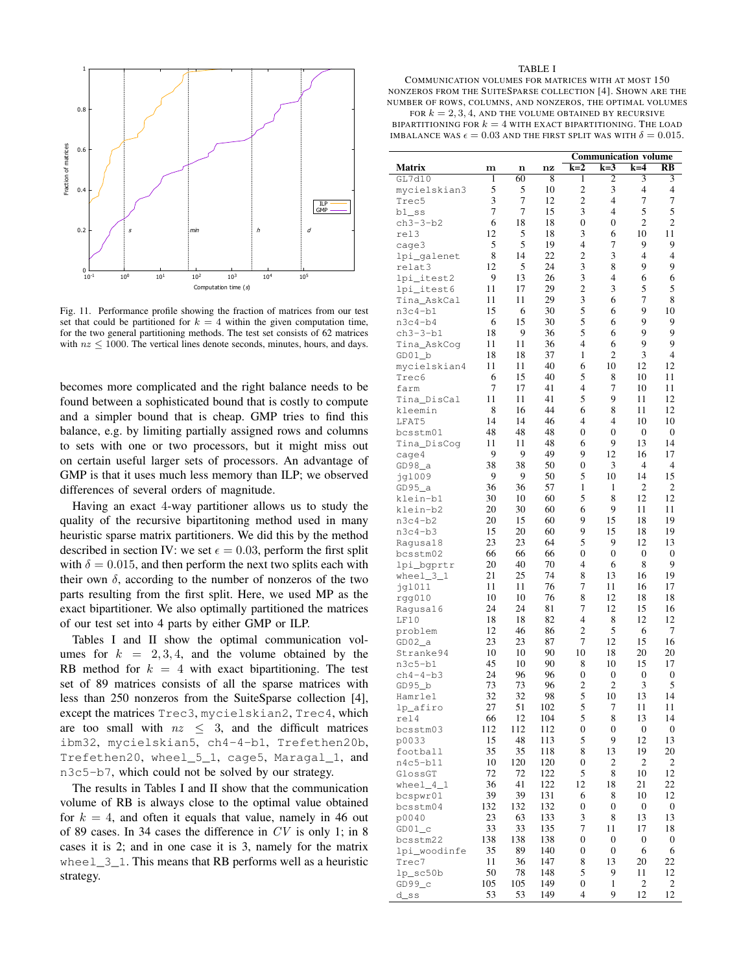

Fig. 11. Performance profile showing the fraction of matrices from our test set that could be partitioned for  $k = 4$  within the given computation time, for the two general partitioning methods. The test set consists of 62 matrices with  $nz \le 1000$ . The vertical lines denote seconds, minutes, hours, and days.

becomes more complicated and the right balance needs to be found between a sophisticated bound that is costly to compute and a simpler bound that is cheap. GMP tries to find this balance, e.g. by limiting partially assigned rows and columns to sets with one or two processors, but it might miss out on certain useful larger sets of processors. An advantage of GMP is that it uses much less memory than ILP; we observed differences of several orders of magnitude.

Having an exact 4-way partitioner allows us to study the quality of the recursive bipartitoning method used in many heuristic sparse matrix partitioners. We did this by the method described in section IV: we set  $\epsilon = 0.03$ , perform the first split with  $\delta = 0.015$ , and then perform the next two splits each with their own  $\delta$ , according to the number of nonzeros of the two parts resulting from the first split. Here, we used MP as the exact bipartitioner. We also optimally partitioned the matrices of our test set into 4 parts by either GMP or ILP.

Tables I and II show the optimal communication volumes for  $k = 2, 3, 4$ , and the volume obtained by the RB method for  $k = 4$  with exact bipartitioning. The test set of 89 matrices consists of all the sparse matrices with less than 250 nonzeros from the SuiteSparse collection [4], except the matrices Trec3, mycielskian2, Trec4, which are too small with  $nz \leq 3$ , and the difficult matrices ibm32, mycielskian5, ch4-4-b1, Trefethen20b, Trefethen20, wheel\_5\_1, cage5, Maragal\_1, and n3c5-b7, which could not be solved by our strategy.

The results in Tables I and II show that the communication volume of RB is always close to the optimal value obtained for  $k = 4$ , and often it equals that value, namely in 46 out of 89 cases. In 34 cases the difference in  $CV$  is only 1; in 8 cases it is 2; and in one case it is 3, namely for the matrix wheel $\frac{3}{1}$ . This means that RB performs well as a heuristic strategy.

#### TABLE I

COMMUNICATION VOLUMES FOR MATRICES WITH AT MOST 150 NONZEROS FROM THE SUITESPARSE COLLECTION [4]. SHOWN ARE THE NUMBER OF ROWS, COLUMNS, AND NONZEROS, THE OPTIMAL VOLUMES FOR  $k = 2, 3, 4$ , AND THE VOLUME OBTAINED BY RECURSIVE

BIPARTITIONING FOR  $k = 4$  with exact bipartitioning. The load IMBALANCE WAS  $\epsilon = 0.03$  AND THE FIRST SPLIT WAS WITH  $\delta = 0.015$ .

|                      |     |     |     | <b>Communication volume</b> |                  |                  |                        |
|----------------------|-----|-----|-----|-----------------------------|------------------|------------------|------------------------|
| <b>Matrix</b>        | m   | n   | nz  | $k=2$                       | $k=3$            | $k=4$            | $\overline{\text{RB}}$ |
| GL7d10               | 1   | 60  | 8   | 1                           | 2                | 3                | 3                      |
| mycielskian3         | 5   | 5   | 10  | $\overline{c}$              | 3                | $\overline{4}$   | $\overline{4}$         |
| Trec5                | 3   | 7   | 12  | $\overline{c}$              | 4                | 7                | 7                      |
| $b1$ _ss             | 7   | 7   | 15  | 3                           | $\overline{4}$   | 5                | 5                      |
| $ch3-3-b2$           | 6   | 18  | 18  | 0                           | 0                | 2                | $\overline{2}$         |
| rel3                 | 12  | 5   | 18  | 3                           | 6                | 10               | 11                     |
| cage3                | 5   | 5   | 19  | 4                           | 7                | 9                | 9                      |
| lpi_galenet          | 8   | 14  | 22  | $\overline{c}$              | 3                | $\overline{4}$   | $\overline{4}$         |
| relat3               | 12  | 5   | 24  | 3                           | 8                | 9                | 9                      |
| lpi_itest2           | 9   | 13  | 26  | 3                           | 4                | 6                | 6                      |
| lpi_itest6           | 11  | 17  | 29  | $\overline{c}$              | 3                | 5                | 5                      |
| Tina_AskCal          | 11  | 11  | 29  | 3                           | 6                | 7                | 8                      |
| $n3c4-b1$            | 15  | 6   | 30  | 5                           | 6                | 9                | 10                     |
| $n3c4-b4$            | 6   | 15  | 30  | 5                           | 6                | 9                | 9                      |
| $ch3-3-b1$           | 18  | 9   | 36  | 5                           | 6                | 9                | 9                      |
| Tina_AskCog          | 11  | 11  | 36  | 4                           | 6                | 9                | 9                      |
| $GD01_b$             | 18  | 18  | 37  | 1                           | $\overline{c}$   | 3                | $\overline{4}$         |
| mycielskian4         | 11  | 11  | 40  | 6                           | 10               | 12               | 12                     |
| Trec6                | 6   | 15  | 40  | 5                           | 8                | 10               | 11                     |
| farm                 | 7   | 17  | 41  | 4                           | 7                | 10               | 11                     |
| Tina_DisCal          | 11  | 11  | 41  | 5                           | 9                | 11               | 12                     |
| kleemin              | 8   | 16  | 44  | 6                           | 8                | 11               | 12                     |
| LFAT5                | 14  | 14  | 46  | 4                           | 4                | 10               | 10                     |
| bcsstm01             | 48  | 48  | 48  | 0                           | $\mathbf{0}$     | $\mathbf{0}$     | $\mathbf{0}$           |
| Tina_DisCoq          | 11  | 11  | 48  | 6                           | 9                | 13               | 14                     |
| cage4                | 9   | 9   | 49  | 9                           | 12               | 16               | 17                     |
| $GD98$ <sup>a</sup>  | 38  | 38  | 50  | 0                           | 3                | 4                | 4                      |
| jq1009               | 9   | 9   | 50  | 5                           | 10               | 14               | 15                     |
| $GD95$ <sup>_a</sup> | 36  | 36  | 57  | 1                           | 1                | $\overline{c}$   | $\overline{2}$         |
| klein-b1             | 30  | 10  | 60  | 5                           | 8                | 12               | 12                     |
| klein-b2             | 20  | 30  | 60  | 6                           | 9                | 11               | 11                     |
| $n3c4-b2$            | 20  | 15  | 60  | 9                           | 15               | 18               | 19                     |
| $n3c4-b3$            | 15  | 20  | 60  | 9                           | 15               | 18               | 19                     |
| Ragusa18             | 23  | 23  | 64  | 5                           | 9                | 12               | 13                     |
| bcsstm02             | 66  | 66  | 66  | 0                           | $\boldsymbol{0}$ | $\boldsymbol{0}$ | $\mathbf{0}$           |
| lpi_bgprtr           | 20  | 40  | 70  | 4                           | 6                | 8                | 9                      |
| $wheel_3_1$          | 21  | 25  | 74  | 8                           | 13               | 16               | 19                     |
| jgl011               | 11  | 11  | 76  | 7                           | 11               | 16               | 17                     |
| rgg010               | 10  | 10  | 76  | 8                           | 12               | 18               | 18                     |
| Ragusal6             | 24  | 24  | 81  | 7                           | 12               | 15               | 16                     |
| LF10                 | 18  | 18  | 82  | 4                           | 8                | 12               | 12                     |
| problem              | 12  | 46  | 86  | 2                           | 5                | 6                | 7                      |
| $GD02$ _a            | 23  | 23  | 87  | 7                           | 12               | 15               | 16                     |
| Stranke94            | 10  | 10  | 90  | 10                          | 18               | 20               | 20                     |
| $n3c5-b1$            | 45  | 10  | 90  | 8                           | 10               | 15               | 17                     |
| $ch4-4-b3$           | 24  | 96  | 96  | $\boldsymbol{0}$            | 0                | $\boldsymbol{0}$ | 0                      |
| GD95 b               | 73  | 73  | 96  | $\overline{c}$              | 2                | 3                | 5                      |
| Hamrlel              | 32  | 32  | 98  | 5                           | 10               | 13               | 14                     |
| lp_afiro             | 27  | 51  | 102 | 5                           | 7                | 11               | 11                     |
| rel4                 | 66  | 12  | 104 | 5                           | 8                | 13               | 14                     |
| bcsstm03             | 112 | 112 | 112 | 0                           | 0                | 0                | 0                      |
| p0033                | 15  | 48  | 113 | 5                           | 9                | 12               | 13                     |
| football             | 35  | 35  | 118 | 8                           | 13               | 19               | 20                     |
| $n4c5-b11$           | 10  | 120 | 120 | 0                           | 2                | 2                | 2                      |
| GlossGT              | 72  | 72  | 122 | 5                           | 8                | 10               | 12                     |
| $wheel_4_1$          | 36  | 41  | 122 | 12                          | 18               | 21               | 22                     |
| bcspwr01             | 39  | 39  | 131 | 6                           | 8                | 10               | 12                     |
| bcsstm04             | 132 | 132 | 132 | $\boldsymbol{0}$            | 0                | 0                | $\boldsymbol{0}$       |
| p0040                | 23  | 63  | 133 | 3                           | 8                | 13               | 13                     |
| $GD01_c$             | 33  | 33  | 135 | 7                           | 11               | 17               | 18                     |
| bcsstm22             | 138 | 138 | 138 | 0                           | 0                | 0                | $\boldsymbol{0}$       |
| lpi_woodinfe         | 35  | 89  | 140 | 0                           | 0                | 6                | 6                      |
| Trec7                | 11  | 36  | 147 | 8                           | 13               | 20               | 22                     |
| $lp\_sc50b$          | 50  | 78  | 148 | 5                           | 9                | 11               | 12                     |
| $GD99\_c$            | 105 | 105 | 149 | 0                           | 1                | $\mathbf{2}$     | 2                      |
| d_ss                 | 53  | 53  | 149 | 4                           | 9                | 12               | 12                     |